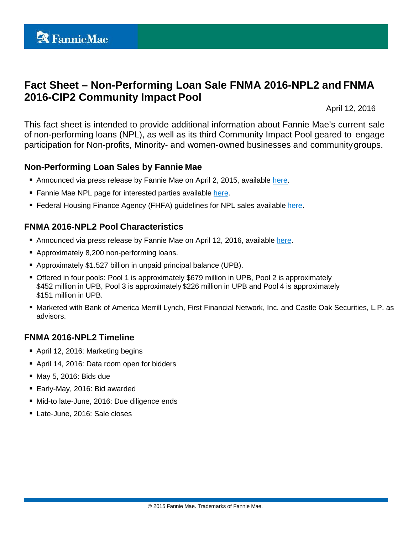# **Fact Sheet – Non-Performing Loan Sale FNMA 2016-NPL2 and FNMA 2016-CIP2 Community Impact Pool**

April 12, 2016

This fact sheet is intended to provide additional information about Fannie Mae's current sale of non-performing loans (NPL), as well as its third Community Impact Pool geared to engage participation for Non-profits, Minority- and women-owned businesses and communitygroups.

## **Non-Performing Loan Sales by Fannie Mae**

- Announced via press release by Fannie Mae on April 2, 2015, available [here.](http://www.fanniemae.com/portal/about-us/media/financial-news/2015/6233.html)
- Fannie Mae NPL page for interested parties available [here.](http://www.fanniemae.com/portal/funding-the-market/npl/index.html)
- **Federal Housing Finance Agency (FHFA) guidelines for NPL sales available [here.](http://www.fhfa.gov/Media/PublicAffairs/Pages/Non-Performing-Loan-%28NPL%29-Sale-Requirements.aspx)**

#### **FNMA 2016-NPL2 Pool Characteristics**

- Announced via press release by Fannie Mae on April 12, 2016, available [here.](http://www.fanniemae.com/portal/about-us/media/financial-news/2015/6337.html)
- Approximately 8,200 non-performing loans.
- Approximately \$1.527 billion in unpaid principal balance (UPB).
- Offered in four pools: Pool 1 is approximately \$679 million in UPB, Pool 2 is approximately \$452 million in UPB, Pool 3 is approximately \$226 million in UPB and Pool 4 is approximately \$151 million in UPB.
- Marketed with Bank of America Merrill Lynch, First Financial Network, Inc. and Castle Oak Securities, L.P. as advisors.

## **FNMA 2016-NPL2 Timeline**

- April 12, 2016: Marketing begins
- April 14, 2016: Data room open for bidders
- $M$ May 5, 2016: Bids due
- Early-May, 2016: Bid awarded
- Mid-to late-June, 2016: Due diligence ends
- Late-June, 2016: Sale closes